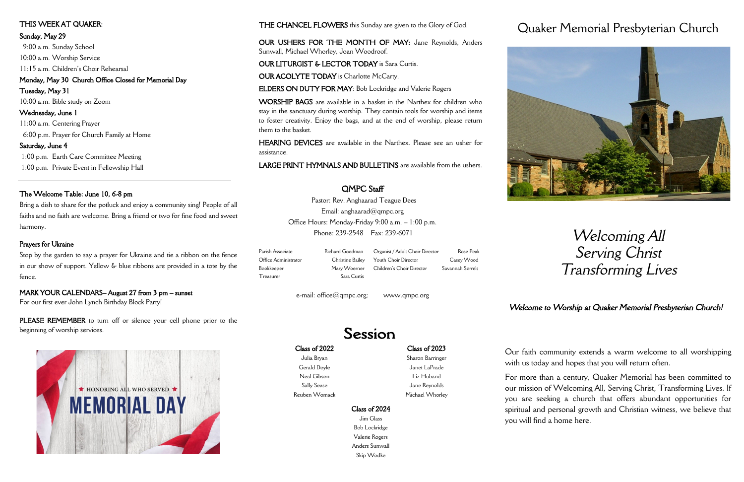#### Class of 2022

Julia Bryan Gerald Doyle Neal Gibson Sally Sease Reuben Womack

#### Class of 2023

Sharon Barringer Janet LaPrade Liz Huband Jane Reynolds

Michael Whorley

#### Class of 2024

Jim Glass Bob Lockridge Valerie Rogers Anders Sunwall Skip Wodke

# Quaker Memorial Presbyterian Church



# *Welcoming All Serving Christ Transforming Lives*

Our faith community extends a warm welcome to all worshipping with us today and hopes that you will return often.

For more than a century, Quaker Memorial has been committed to our mission of Welcoming All, Serving Christ, Transforming Lives. If you are seeking a church that offers abundant opportunities for spiritual and personal growth and Christian witness, we believe that you will find a home here.

## THE CHANCEL FLOWERS this Sunday are given to the Glory of God.

OUR USHERS FOR THE MONTH OF MAY: Jane Reynolds, Anders Sunwall, Michael Whorley, Joan Woodroof.

OUR LITURGIST & LECTOR TODAY is Sara Curtis.

OUR ACOLYTE TODAY is Charlotte McCarty.

ELDERS ON DUTY FOR MAY: Bob Lockridge and Valerie Rogers

WORSHIP BAGS are available in a basket in the Narthex for children who stay in the sanctuary during worship. They contain tools for worship and items to foster creativity. Enjoy the bags, and at the end of worship, please return them to the basket.

PLEASE REMEMBER to turn off or silence your cell phone prior to the beginning of worship services.



HEARING DEVICES are available in the Narthex. Please see an usher for assistance.

LARGE PRINT HYMNALS AND BULLETINS are available from the ushers.

#### THIS WEEK AT QUAKER:

#### Sunday, May 29

 9:00 a.m. Sunday School 10:00 a.m. Worship Service 11:15 a.m. Children's Choir Rehearsal Monday, May 30 Church Office Closed for Memorial Day

Tuesday, May 31 10:00 a.m. Bible study on Zoom Wednesday, June 1 11:00 a.m. Centering Prayer

6:00 p.m. Prayer for Church Family at Home

#### Saturday, June 4

1:00 p.m. Earth Care Committee Meeting 1:00 p.m. Private Event in Fellowship Hall

#### The Welcome Table: June 10, 6-8 pm

Bring a dish to share for the potluck and enjoy a community sing! People of all faiths and no faith are welcome. Bring a friend or two for fine food and sweet harmony.

#### Prayers for Ukraine

Stop by the garden to say a prayer for Ukraine and tie a ribbon on the fence in our show of support. Yellow & blue ribbons are provided in a tote by the fence.

#### MARK YOUR CALENDARS– August 27 from 3 pm – sunset

For our first ever John Lynch Birthday Block Party!

# QMPC Staff

Pastor: Rev. Anghaarad Teague Dees Email: anghaarad@qmpc.org Office Hours: Monday-Friday 9:00 a.m. – 1:00 p.m. Phone: 239-2548 Fax: 239-6071

Parish Associate Richard Goodman Office Administrator Christine Bailey Bookkeeper Mary Woerner

Treasurer Sara Curtis

e-mail: office@qmpc.org; www.qmpc.org

# Session

Organist / Adult Choir Director Rose Peak Youth Choir Director Casey Wood Children's Choir Director Savannah Sorrels

# *Welcome to Worship at Quaker Memorial Presbyterian Church!*